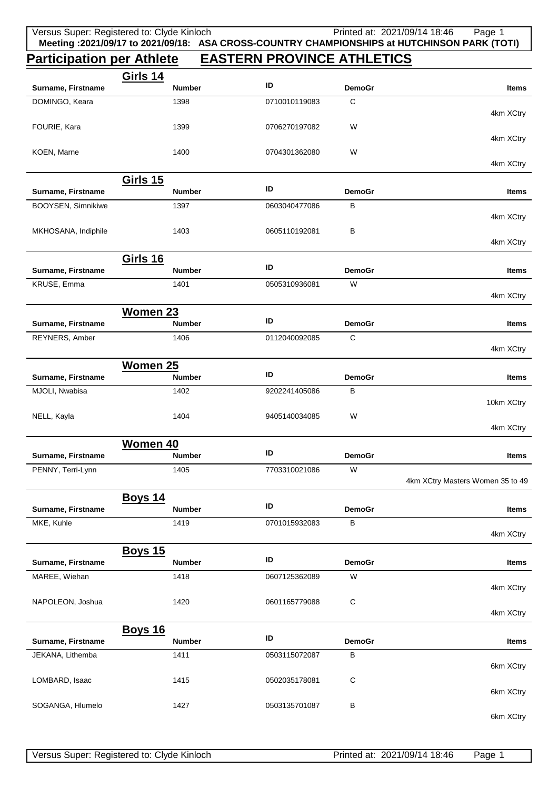## **Participation per Athlete EASTERN PROVINCE ATHLETICS**

|                                   | <b>Girls 14</b>                  |               |                    |                                  |
|-----------------------------------|----------------------------------|---------------|--------------------|----------------------------------|
| Surname, Firstname                | <b>Number</b>                    | ID            | <b>DemoGr</b>      | Items                            |
| DOMINGO, Keara                    | 1398                             | 0710010119083 | С                  | 4km XCtry                        |
| FOURIE, Kara                      | 1399                             | 0706270197082 | W                  |                                  |
| KOEN, Marne                       | 1400                             | 0704301362080 | W                  | 4km XCtry                        |
|                                   |                                  |               |                    | 4km XCtry                        |
|                                   | <b>Girls 15</b>                  |               |                    |                                  |
| Surname, Firstname                | <b>Number</b>                    | ID            | <b>DemoGr</b>      | Items                            |
| BOOYSEN, Simnikiwe                | 1397                             | 0603040477086 | В                  | 4km XCtry                        |
| MKHOSANA, Indiphile               | 1403                             | 0605110192081 | В                  |                                  |
|                                   |                                  |               |                    | 4km XCtry                        |
|                                   | Girls 16<br><b>Number</b>        | ID            |                    |                                  |
| Surname, Firstname<br>KRUSE, Emma | 1401                             | 0505310936081 | <b>DemoGr</b><br>W | Items                            |
|                                   |                                  |               |                    | 4km XCtry                        |
|                                   | Women 23                         |               |                    |                                  |
| Surname, Firstname                | <b>Number</b>                    | ID            | <b>DemoGr</b>      | Items                            |
| REYNERS, Amber                    | 1406                             | 0112040092085 | C                  |                                  |
|                                   |                                  |               |                    | 4km XCtry                        |
|                                   | <b>Women 25</b>                  |               |                    |                                  |
| Surname, Firstname                | <b>Number</b>                    | ID            | <b>DemoGr</b>      | Items                            |
| MJOLI, Nwabisa                    | 1402                             | 9202241405086 | B                  | 10km XCtry                       |
| NELL, Kayla                       | 1404                             | 9405140034085 | W                  |                                  |
|                                   |                                  |               |                    | 4km XCtry                        |
| Surname, Firstname                | <b>Women 40</b><br><b>Number</b> | ID            | <b>DemoGr</b>      |                                  |
|                                   |                                  |               |                    | <b>Items</b>                     |
| PENNY, Terri-Lynn                 | 1405                             | 7703310021086 | W                  | 4km XCtry Masters Women 35 to 49 |
|                                   | <b>Boys 14</b>                   |               |                    |                                  |
| Surname, Firstname                | <b>Number</b>                    | ID            | <b>DemoGr</b>      | <b>Items</b>                     |
| MKE, Kuhle                        | 1419                             | 0701015932083 | В                  | 4km XCtry                        |
|                                   | <b>Boys 15</b>                   |               |                    |                                  |
| Surname, Firstname                | <b>Number</b>                    | ID            | <b>DemoGr</b>      | <b>Items</b>                     |
| MAREE, Wiehan                     | 1418                             | 0607125362089 | W                  |                                  |
|                                   |                                  |               |                    | 4km XCtry                        |
| NAPOLEON, Joshua                  | 1420                             | 0601165779088 | C                  | 4km XCtry                        |
|                                   | <b>Boys 16</b>                   |               |                    |                                  |
| Surname, Firstname                | <b>Number</b>                    | ID            | <b>DemoGr</b>      | <b>Items</b>                     |
| JEKANA, Lithemba                  | 1411                             | 0503115072087 | B                  |                                  |
|                                   |                                  |               |                    | 6km XCtry                        |
| LOMBARD, Isaac                    | 1415                             | 0502035178081 | C                  | 6km XCtry                        |
| SOGANGA, Hlumelo                  | 1427                             | 0503135701087 | B                  |                                  |
|                                   |                                  |               |                    | 6km XCtry                        |